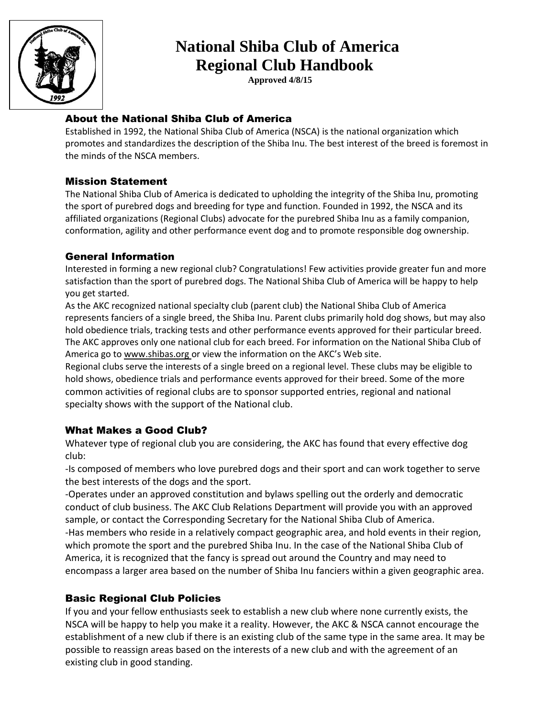

### **National Shiba Club of America Regional Club Handbook**

 **Approved 4/8/15**

#### About the National Shiba Club of America

Established in 1992, the National Shiba Club of America (NSCA) is the national organization which promotes and standardizes the description of the Shiba Inu. The best interest of the breed is foremost in the minds of the NSCA members.

#### Mission Statement

The National Shiba Club of America is dedicated to upholding the integrity of the Shiba Inu, promoting the sport of purebred dogs and breeding for type and function. Founded in 1992, the NSCA and its affiliated organizations (Regional Clubs) advocate for the purebred Shiba Inu as a family companion, conformation, agility and other performance event dog and to promote responsible dog ownership.

#### General Information

Interested in forming a new regional club? Congratulations! Few activities provide greater fun and more satisfaction than the sport of purebred dogs. The National Shiba Club of America will be happy to help you get started.

As the AKC recognized national specialty club (parent club) the National Shiba Club of America represents fanciers of a single breed, the Shiba Inu. Parent clubs primarily hold dog shows, but may also hold obedience trials, tracking tests and other performance events approved for their particular breed. The AKC approves only one national club for each breed. For information on the National Shiba Club of America go to www.shibas.org or view the information on the AKC's Web site.

Regional clubs serve the interests of a single breed on a regional level. These clubs may be eligible to hold shows, obedience trials and performance events approved for their breed. Some of the more common activities of regional clubs are to sponsor supported entries, regional and national specialty shows with the support of the National club.

#### What Makes a Good Club?

Whatever type of regional club you are considering, the AKC has found that every effective dog club:

-Is composed of members who love purebred dogs and their sport and can work together to serve the best interests of the dogs and the sport.

-Operates under an approved constitution and bylaws spelling out the orderly and democratic conduct of club business. The AKC Club Relations Department will provide you with an approved sample, or contact the Corresponding Secretary for the National Shiba Club of America. -Has members who reside in a relatively compact geographic area, and hold events in their region, which promote the sport and the purebred Shiba Inu. In the case of the National Shiba Club of America, it is recognized that the fancy is spread out around the Country and may need to encompass a larger area based on the number of Shiba Inu fanciers within a given geographic area.

#### Basic Regional Club Policies

If you and your fellow enthusiasts seek to establish a new club where none currently exists, the NSCA will be happy to help you make it a reality. However, the AKC & NSCA cannot encourage the establishment of a new club if there is an existing club of the same type in the same area. It may be possible to reassign areas based on the interests of a new club and with the agreement of an existing club in good standing.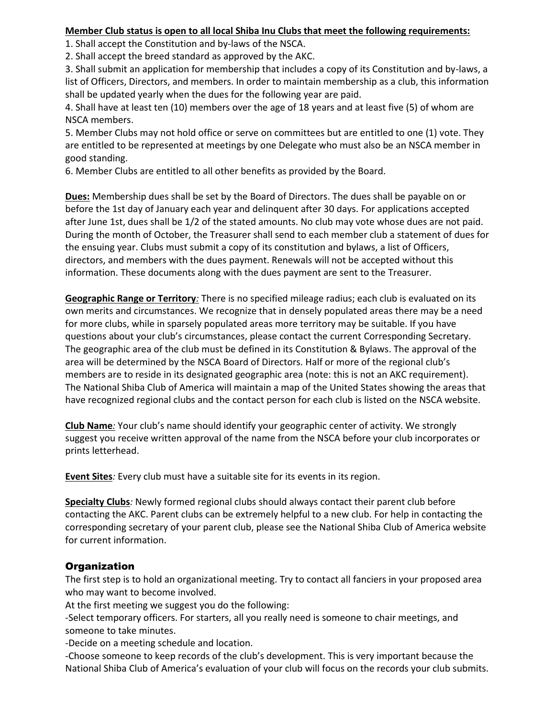#### **Member Club status is open to all local Shiba Inu Clubs that meet the following requirements:**

1. Shall accept the Constitution and by-laws of the NSCA.

2. Shall accept the breed standard as approved by the AKC.

3. Shall submit an application for membership that includes a copy of its Constitution and by-laws, a list of Officers, Directors, and members. In order to maintain membership as a club, this information shall be updated yearly when the dues for the following year are paid.

4. Shall have at least ten (10) members over the age of 18 years and at least five (5) of whom are NSCA members.

5. Member Clubs may not hold office or serve on committees but are entitled to one (1) vote. They are entitled to be represented at meetings by one Delegate who must also be an NSCA member in good standing.

6. Member Clubs are entitled to all other benefits as provided by the Board.

**Dues:** Membership dues shall be set by the Board of Directors. The dues shall be payable on or before the 1st day of January each year and delinquent after 30 days. For applications accepted after June 1st, dues shall be 1/2 of the stated amounts. No club may vote whose dues are not paid. During the month of October, the Treasurer shall send to each member club a statement of dues for the ensuing year. Clubs must submit a copy of its constitution and bylaws, a list of Officers, directors, and members with the dues payment. Renewals will not be accepted without this information. These documents along with the dues payment are sent to the Treasurer.

**Geographic Range or Territory***:* There is no specified mileage radius; each club is evaluated on its own merits and circumstances. We recognize that in densely populated areas there may be a need for more clubs, while in sparsely populated areas more territory may be suitable. If you have questions about your club's circumstances, please contact the current Corresponding Secretary. The geographic area of the club must be defined in its Constitution & Bylaws. The approval of the area will be determined by the NSCA Board of Directors. Half or more of the regional club's members are to reside in its designated geographic area (note: this is not an AKC requirement). The National Shiba Club of America will maintain a map of the United States showing the areas that have recognized regional clubs and the contact person for each club is listed on the NSCA website.

**Club Name***:* Your club's name should identify your geographic center of activity. We strongly suggest you receive written approval of the name from the NSCA before your club incorporates or prints letterhead.

**Event Sites***:* Every club must have a suitable site for its events in its region.

**Specialty Clubs***:* Newly formed regional clubs should always contact their parent club before contacting the AKC. Parent clubs can be extremely helpful to a new club. For help in contacting the corresponding secretary of your parent club, please see the National Shiba Club of America website for current information.

#### **Organization**

The first step is to hold an organizational meeting. Try to contact all fanciers in your proposed area who may want to become involved.

At the first meeting we suggest you do the following:

-Select temporary officers. For starters, all you really need is someone to chair meetings, and someone to take minutes.

-Decide on a meeting schedule and location.

-Choose someone to keep records of the club's development. This is very important because the National Shiba Club of America's evaluation of your club will focus on the records your club submits.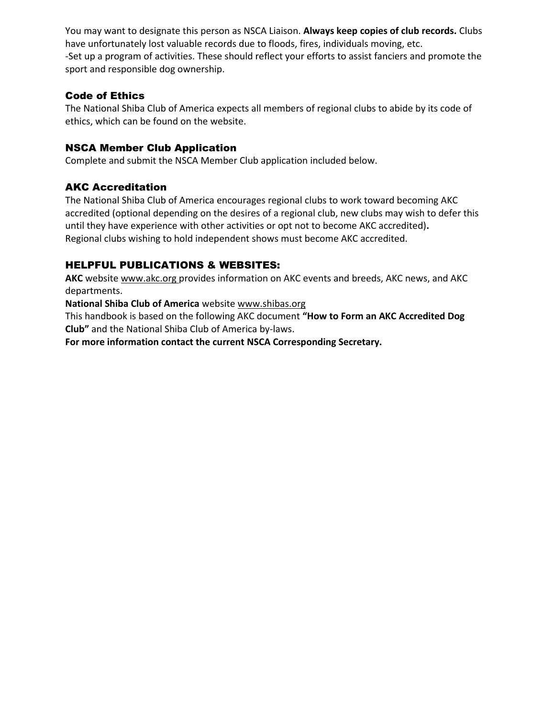You may want to designate this person as NSCA Liaison. **Always keep copies of club records.** Clubs have unfortunately lost valuable records due to floods, fires, individuals moving, etc. -Set up a program of activities. These should reflect your efforts to assist fanciers and promote the sport and responsible dog ownership.

#### Code of Ethics

The National Shiba Club of America expects all members of regional clubs to abide by its code of ethics, which can be found on the website.

#### NSCA Member Club Application

Complete and submit the NSCA Member Club application included below.

#### AKC Accreditation

The National Shiba Club of America encourages regional clubs to work toward becoming AKC accredited (optional depending on the desires of a regional club, new clubs may wish to defer this until they have experience with other activities or opt not to become AKC accredited)**.**  Regional clubs wishing to hold independent shows must become AKC accredited.

#### HELPFUL PUBLICATIONS & WEBSITES:

**AKC** website www.akc.org provides information on AKC events and breeds, AKC news, and AKC departments.

**National Shiba Club of America** website www.shibas.org

This handbook is based on the following AKC document **"How to Form an AKC Accredited Dog Club"** and the National Shiba Club of America by-laws.

**For more information contact the current NSCA Corresponding Secretary.**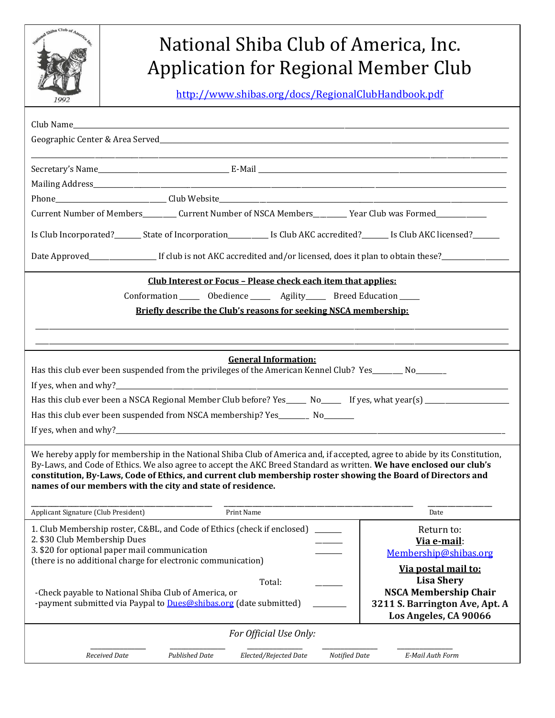

# National Shiba Club of America, Inc. Application for Regional Member Club

http://www.shibas.org/docs/RegionalClubHandbook.pdf

| Club Name and the contract of the contract of the contract of the contract of the contract of the contract of                                                                                                                                     |                                                   |
|---------------------------------------------------------------------------------------------------------------------------------------------------------------------------------------------------------------------------------------------------|---------------------------------------------------|
|                                                                                                                                                                                                                                                   |                                                   |
|                                                                                                                                                                                                                                                   |                                                   |
|                                                                                                                                                                                                                                                   |                                                   |
| Current Number of Members__________ Current Number of NSCA Members_________ Year Club was Formed_____________                                                                                                                                     |                                                   |
|                                                                                                                                                                                                                                                   |                                                   |
| Is Club Incorporated?________ State of Incorporation____________ Is Club AKC accredited?_______ Is Club AKC licensed?_______                                                                                                                      |                                                   |
| Date Approved_______________________If club is not AKC accredited and/or licensed, does it plan to obtain these?_______________________                                                                                                           |                                                   |
| Club Interest or Focus - Please check each item that applies:                                                                                                                                                                                     |                                                   |
| Conformation _______ Obedience ________ Agility_______ Breed Education ______                                                                                                                                                                     |                                                   |
| Briefly describe the Club's reasons for seeking NSCA membership:                                                                                                                                                                                  |                                                   |
|                                                                                                                                                                                                                                                   |                                                   |
|                                                                                                                                                                                                                                                   |                                                   |
| <b>General Information:</b><br>Has this club ever been suspended from the privileges of the American Kennel Club? Yes________ No________                                                                                                          |                                                   |
|                                                                                                                                                                                                                                                   |                                                   |
| Has this club ever been a NSCA Regional Member Club before? Yes______ No______ If yes, what year(s) __________________                                                                                                                            |                                                   |
| Has this club ever been suspended from NSCA membership? Yes________ No________                                                                                                                                                                    |                                                   |
|                                                                                                                                                                                                                                                   |                                                   |
|                                                                                                                                                                                                                                                   |                                                   |
| We hereby apply for membership in the National Shiba Club of America and, if accepted, agree to abide by its Constitution,<br>By-Laws, and Code of Ethics. We also agree to accept the AKC Breed Standard as written. We have enclosed our club's |                                                   |
| constitution, By-Laws, Code of Ethics, and current club membership roster showing the Board of Directors and                                                                                                                                      |                                                   |
| names of our members with the city and state of residence.                                                                                                                                                                                        |                                                   |
| Applicant Signature (Club President)<br>Print Name                                                                                                                                                                                                | Date                                              |
| 1. Club Membership roster, C&BL, and Code of Ethics (check if enclosed)                                                                                                                                                                           | Return to:                                        |
| 2. \$30 Club Membership Dues                                                                                                                                                                                                                      | Via e-mail:                                       |
| 3. \$20 for optional paper mail communication<br>(there is no additional charge for electronic communication)                                                                                                                                     | Membership@shibas.org                             |
|                                                                                                                                                                                                                                                   | Via postal mail to:                               |
| Total:<br>-Check payable to National Shiba Club of America, or                                                                                                                                                                                    | <b>Lisa Shery</b><br><b>NSCA Membership Chair</b> |
| -payment submitted via Paypal to Dues@shibas.org (date submitted)                                                                                                                                                                                 | 3211 S. Barrington Ave, Apt. A                    |
|                                                                                                                                                                                                                                                   | Los Angeles, CA 90066                             |
| For Official Use Only:                                                                                                                                                                                                                            |                                                   |
| Elected/Rejected Date<br>E-Mail Auth Form<br>Received Date<br><b>Published Date</b><br>Notified Date                                                                                                                                              |                                                   |